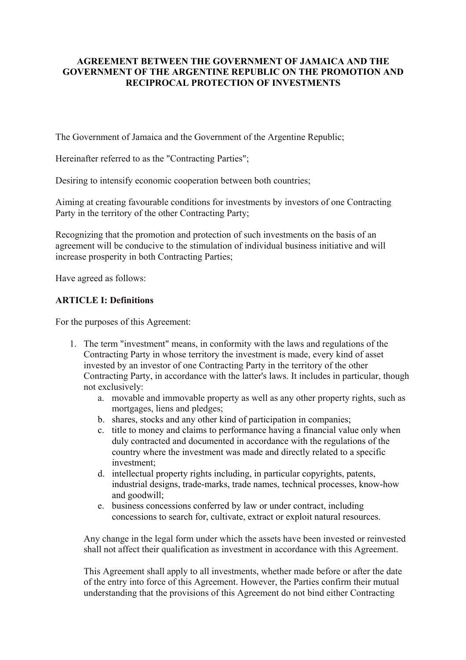### **AGREEMENT BETWEEN THE GOVERNMENT OF JAMAICA AND THE GOVERNMENT OF THE ARGENTINE REPUBLIC ON THE PROMOTION AND RECIPROCAL PROTECTION OF INVESTMENTS**

The Government of Jamaica and the Government of the Argentine Republic;

Hereinafter referred to as the "Contracting Parties";

Desiring to intensify economic cooperation between both countries;

Aiming at creating favourable conditions for investments by investors of one Contracting Party in the territory of the other Contracting Party;

Recognizing that the promotion and protection of such investments on the basis of an agreement will be conducive to the stimulation of individual business initiative and will increase prosperity in both Contracting Parties;

Have agreed as follows:

### **ARTICLE I: Definitions**

For the purposes of this Agreement:

- 1. The term "investment" means, in conformity with the laws and regulations of the Contracting Party in whose territory the investment is made, every kind of asset invested by an investor of one Contracting Party in the territory of the other Contracting Party, in accordance with the latter's laws. It includes in particular, though not exclusively:
	- a. movable and immovable property as well as any other property rights, such as mortgages, liens and pledges;
	- b. shares, stocks and any other kind of participation in companies;
	- c. title to money and claims to performance having a financial value only when duly contracted and documented in accordance with the regulations of the country where the investment was made and directly related to a specific investment;
	- d. intellectual property rights including, in particular copyrights, patents, industrial designs, trade-marks, trade names, technical processes, know-how and goodwill;
	- e. business concessions conferred by law or under contract, including concessions to search for, cultivate, extract or exploit natural resources.

Any change in the legal form under which the assets have been invested or reinvested shall not affect their qualification as investment in accordance with this Agreement.

This Agreement shall apply to all investments, whether made before or after the date of the entry into force of this Agreement. However, the Parties confirm their mutual understanding that the provisions of this Agreement do not bind either Contracting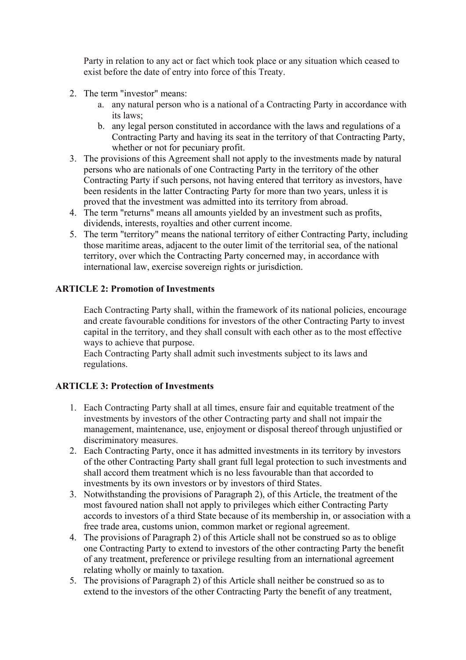Party in relation to any act or fact which took place or any situation which ceased to exist before the date of entry into force of this Treaty.

- 2. The term "investor" means:
	- a. any natural person who is a national of a Contracting Party in accordance with its laws;
	- b. any legal person constituted in accordance with the laws and regulations of a Contracting Party and having its seat in the territory of that Contracting Party, whether or not for pecuniary profit.
- 3. The provisions of this Agreement shall not apply to the investments made by natural persons who are nationals of one Contracting Party in the territory of the other Contracting Party if such persons, not having entered that territory as investors, have been residents in the latter Contracting Party for more than two years, unless it is proved that the investment was admitted into its territory from abroad.
- 4. The term "returns" means all amounts yielded by an investment such as profits, dividends, interests, royalties and other current income.
- 5. The term "territory" means the national territory of either Contracting Party, including those maritime areas, adjacent to the outer limit of the territorial sea, of the national territory, over which the Contracting Party concerned may, in accordance with international law, exercise sovereign rights or jurisdiction.

# **ARTICLE 2: Promotion of Investments**

Each Contracting Party shall, within the framework of its national policies, encourage and create favourable conditions for investors of the other Contracting Party to invest capital in the territory, and they shall consult with each other as to the most effective ways to achieve that purpose.

Each Contracting Party shall admit such investments subject to its laws and regulations.

### **ARTICLE 3: Protection of Investments**

- 1. Each Contracting Party shall at all times, ensure fair and equitable treatment of the investments by investors of the other Contracting party and shall not impair the management, maintenance, use, enjoyment or disposal thereof through unjustified or discriminatory measures.
- 2. Each Contracting Party, once it has admitted investments in its territory by investors of the other Contracting Party shall grant full legal protection to such investments and shall accord them treatment which is no less favourable than that accorded to investments by its own investors or by investors of third States.
- 3. Notwithstanding the provisions of Paragraph 2), of this Article, the treatment of the most favoured nation shall not apply to privileges which either Contracting Party accords to investors of a third State because of its membership in, or association with a free trade area, customs union, common market or regional agreement.
- 4. The provisions of Paragraph 2) of this Article shall not be construed so as to oblige one Contracting Party to extend to investors of the other contracting Party the benefit of any treatment, preference or privilege resulting from an international agreement relating wholly or mainly to taxation.
- 5. The provisions of Paragraph 2) of this Article shall neither be construed so as to extend to the investors of the other Contracting Party the benefit of any treatment,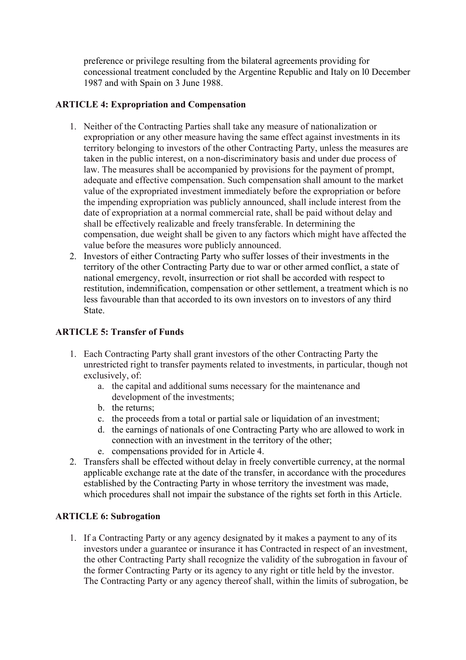preference or privilege resulting from the bilateral agreements providing for concessional treatment concluded by the Argentine Republic and Italy on l0 December 1987 and with Spain on 3 June 1988.

### **ARTICLE 4: Expropriation and Compensation**

- 1. Neither of the Contracting Parties shall take any measure of nationalization or expropriation or any other measure having the same effect against investments in its territory belonging to investors of the other Contracting Party, unless the measures are taken in the public interest, on a non-discriminatory basis and under due process of law. The measures shall be accompanied by provisions for the payment of prompt, adequate and effective compensation. Such compensation shall amount to the market value of the expropriated investment immediately before the expropriation or before the impending expropriation was publicly announced, shall include interest from the date of expropriation at a normal commercial rate, shall be paid without delay and shall be effectively realizable and freely transferable. In determining the compensation, due weight shall be given to any factors which might have affected the value before the measures wore publicly announced.
- 2. Investors of either Contracting Party who suffer losses of their investments in the territory of the other Contracting Party due to war or other armed conflict, a state of national emergency, revolt, insurrection or riot shall be accorded with respect to restitution, indemnification, compensation or other settlement, a treatment which is no less favourable than that accorded to its own investors on to investors of any third **State**

# **ARTICLE 5: Transfer of Funds**

- 1. Each Contracting Party shall grant investors of the other Contracting Party the unrestricted right to transfer payments related to investments, in particular, though not exclusively, of:
	- a. the capital and additional sums necessary for the maintenance and development of the investments;
	- b. the returns;
	- c. the proceeds from a total or partial sale or liquidation of an investment;
	- d. the earnings of nationals of one Contracting Party who are allowed to work in connection with an investment in the territory of the other;
	- e. compensations provided for in Article 4.
- 2. Transfers shall be effected without delay in freely convertible currency, at the normal applicable exchange rate at the date of the transfer, in accordance with the procedures established by the Contracting Party in whose territory the investment was made, which procedures shall not impair the substance of the rights set forth in this Article.

# **ARTICLE 6: Subrogation**

1. If a Contracting Party or any agency designated by it makes a payment to any of its investors under a guarantee or insurance it has Contracted in respect of an investment, the other Contracting Party shall recognize the validity of the subrogation in favour of the former Contracting Party or its agency to any right or title held by the investor. The Contracting Party or any agency thereof shall, within the limits of subrogation, be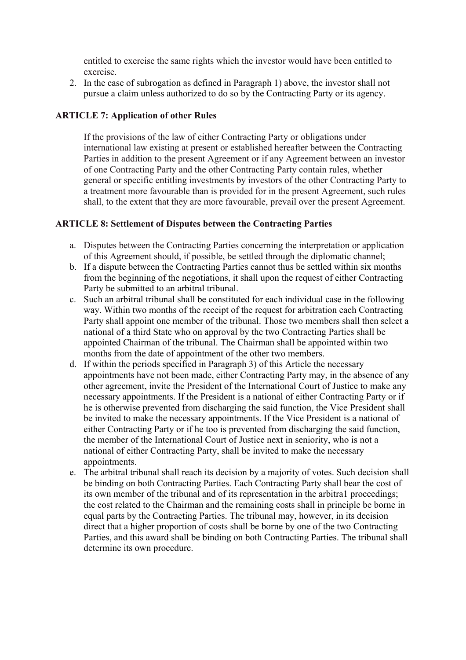entitled to exercise the same rights which the investor would have been entitled to exercise.

2. In the case of subrogation as defined in Paragraph 1) above, the investor shall not pursue a claim unless authorized to do so by the Contracting Party or its agency.

### **ARTICLE 7: Application of other Rules**

If the provisions of the law of either Contracting Party or obligations under international law existing at present or established hereafter between the Contracting Parties in addition to the present Agreement or if any Agreement between an investor of one Contracting Party and the other Contracting Party contain rules, whether general or specific entitling investments by investors of the other Contracting Party to a treatment more favourable than is provided for in the present Agreement, such rules shall, to the extent that they are more favourable, prevail over the present Agreement.

### **ARTICLE 8: Settlement of Disputes between the Contracting Parties**

- a. Disputes between the Contracting Parties concerning the interpretation or application of this Agreement should, if possible, be settled through the diplomatic channel;
- b. If a dispute between the Contracting Parties cannot thus be settled within six months from the beginning of the negotiations, it shall upon the request of either Contracting Party be submitted to an arbitral tribunal.
- c. Such an arbitral tribunal shall be constituted for each individual case in the following way. Within two months of the receipt of the request for arbitration each Contracting Party shall appoint one member of the tribunal. Those two members shall then select a national of a third State who on approval by the two Contracting Parties shall be appointed Chairman of the tribunal. The Chairman shall be appointed within two months from the date of appointment of the other two members.
- d. If within the periods specified in Paragraph 3) of this Article the necessary appointments have not been made, either Contracting Party may, in the absence of any other agreement, invite the President of the International Court of Justice to make any necessary appointments. If the President is a national of either Contracting Party or if he is otherwise prevented from discharging the said function, the Vice President shall be invited to make the necessary appointments. If the Vice President is a national of either Contracting Party or if he too is prevented from discharging the said function, the member of the International Court of Justice next in seniority, who is not a national of either Contracting Party, shall be invited to make the necessary appointments.
- e. The arbitral tribunal shall reach its decision by a majority of votes. Such decision shall be binding on both Contracting Parties. Each Contracting Party shall bear the cost of its own member of the tribunal and of its representation in the arbitra1 proceedings; the cost related to the Chairman and the remaining costs shall in principle be borne in equal parts by the Contracting Parties. The tribunal may, however, in its decision direct that a higher proportion of costs shall be borne by one of the two Contracting Parties, and this award shall be binding on both Contracting Parties. The tribunal shall determine its own procedure.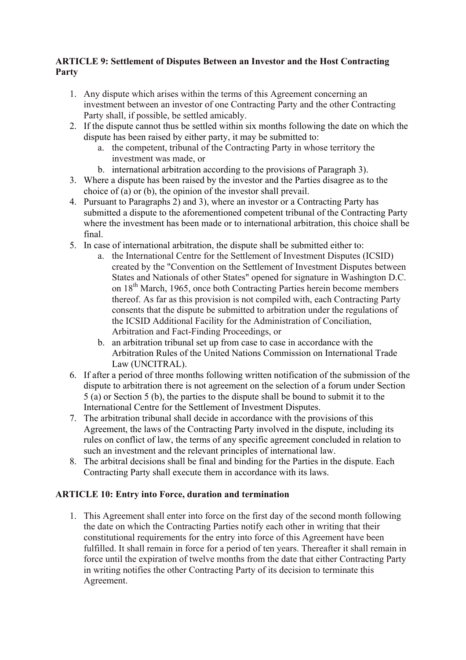# **ARTICLE 9: Settlement of Disputes Between an Investor and the Host Contracting Party**

- 1. Any dispute which arises within the terms of this Agreement concerning an investment between an investor of one Contracting Party and the other Contracting Party shall, if possible, be settled amicably.
- 2. If the dispute cannot thus be settled within six months following the date on which the dispute has been raised by either party, it may be submitted to:
	- a. the competent, tribunal of the Contracting Party in whose territory the investment was made, or
	- b. international arbitration according to the provisions of Paragraph 3).
- 3. Where a dispute has been raised by the investor and the Parties disagree as to the choice of (a) or (b), the opinion of the investor shall prevail.
- 4. Pursuant to Paragraphs 2) and 3), where an investor or a Contracting Party has submitted a dispute to the aforementioned competent tribunal of the Contracting Party where the investment has been made or to international arbitration, this choice shall be final.
- 5. In case of international arbitration, the dispute shall be submitted either to:
	- a. the International Centre for the Settlement of Investment Disputes (ICSID) created by the "Convention on the Settlement of Investment Disputes between States and Nationals of other States" opened for signature in Washington D.C. on 18<sup>th</sup> March, 1965, once both Contracting Parties herein become members thereof. As far as this provision is not compiled with, each Contracting Party consents that the dispute be submitted to arbitration under the regulations of the ICSID Additional Facility for the Administration of Conciliation, Arbitration and Fact-Finding Proceedings, or
	- b. an arbitration tribunal set up from case to case in accordance with the Arbitration Rules of the United Nations Commission on International Trade Law (UNCITRAL).
- 6. If after a period of three months following written notification of the submission of the dispute to arbitration there is not agreement on the selection of a forum under Section 5 (a) or Section 5 (b), the parties to the dispute shall be bound to submit it to the International Centre for the Settlement of Investment Disputes.
- 7. The arbitration tribunal shall decide in accordance with the provisions of this Agreement, the laws of the Contracting Party involved in the dispute, including its rules on conflict of law, the terms of any specific agreement concluded in relation to such an investment and the relevant principles of international law.
- 8. The arbitral decisions shall be final and binding for the Parties in the dispute. Each Contracting Party shall execute them in accordance with its laws.

# **ARTICLE 10: Entry into Force, duration and termination**

1. This Agreement shall enter into force on the first day of the second month following the date on which the Contracting Parties notify each other in writing that their constitutional requirements for the entry into force of this Agreement have been fulfilled. It shall remain in force for a period of ten years. Thereafter it shall remain in force until the expiration of twelve months from the date that either Contracting Party in writing notifies the other Contracting Party of its decision to terminate this Agreement.